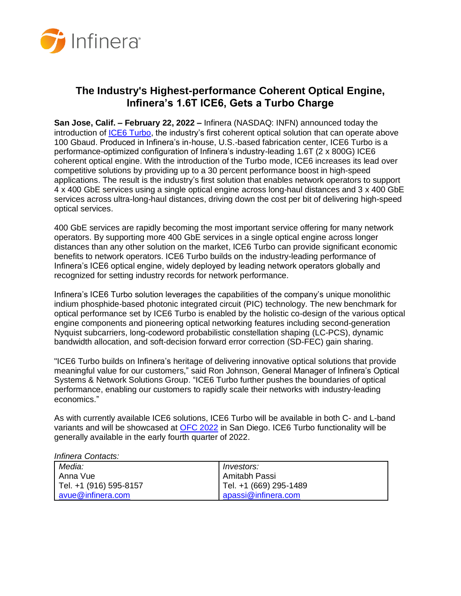

## **The Industry's Highest-performance Coherent Optical Engine, Infinera's 1.6T ICE6, Gets a Turbo Charge**

**San Jose, Calif. – February 22, 2022 –** Infinera (NASDAQ: INFN) announced today the introduction of [ICE6 Turbo,](https://www.infinera.com/innovation/ice6-800g-wavelengths/) the industry's first coherent optical solution that can operate above 100 Gbaud. Produced in Infinera's in-house, U.S.-based fabrication center, ICE6 Turbo is a performance-optimized configuration of Infinera's industry-leading 1.6T (2 x 800G) ICE6 coherent optical engine. With the introduction of the Turbo mode, ICE6 increases its lead over competitive solutions by providing up to a 30 percent performance boost in high-speed applications. The result is the industry's first solution that enables network operators to support 4 x 400 GbE services using a single optical engine across long-haul distances and 3 x 400 GbE services across ultra-long-haul distances, driving down the cost per bit of delivering high-speed optical services.

400 GbE services are rapidly becoming the most important service offering for many network operators. By supporting more 400 GbE services in a single optical engine across longer distances than any other solution on the market, ICE6 Turbo can provide significant economic benefits to network operators. ICE6 Turbo builds on the industry-leading performance of Infinera's ICE6 optical engine, widely deployed by leading network operators globally and recognized for setting industry records for network performance.

Infinera's ICE6 Turbo solution leverages the capabilities of the company's unique monolithic indium phosphide-based photonic integrated circuit (PIC) technology. The new benchmark for optical performance set by ICE6 Turbo is enabled by the holistic co-design of the various optical engine components and pioneering optical networking features including second-generation Nyquist subcarriers, long-codeword probabilistic constellation shaping (LC-PCS), dynamic bandwidth allocation, and soft-decision forward error correction (SD-FEC) gain sharing.

"ICE6 Turbo builds on Infinera's heritage of delivering innovative optical solutions that provide meaningful value for our customers," said Ron Johnson, General Manager of Infinera's Optical Systems & Network Solutions Group. "ICE6 Turbo further pushes the boundaries of optical performance, enabling our customers to rapidly scale their networks with industry-leading economics."

As with currently available ICE6 solutions, ICE6 Turbo will be available in both C- and L-band variants and will be showcased at [OFC](https://www.ofcconference.org/en-us/home/about/) 2022 in San Diego. ICE6 Turbo functionality will be generally available in the early fourth quarter of 2022.

## *Infinera Contacts:*

| Media:                 | <i>Investors:</i>      |
|------------------------|------------------------|
| Anna Vue               | Amitabh Passi          |
| Tel. +1 (916) 595-8157 | Tel. +1 (669) 295-1489 |
| avue@infinera.com      | apassi@infinera.com    |